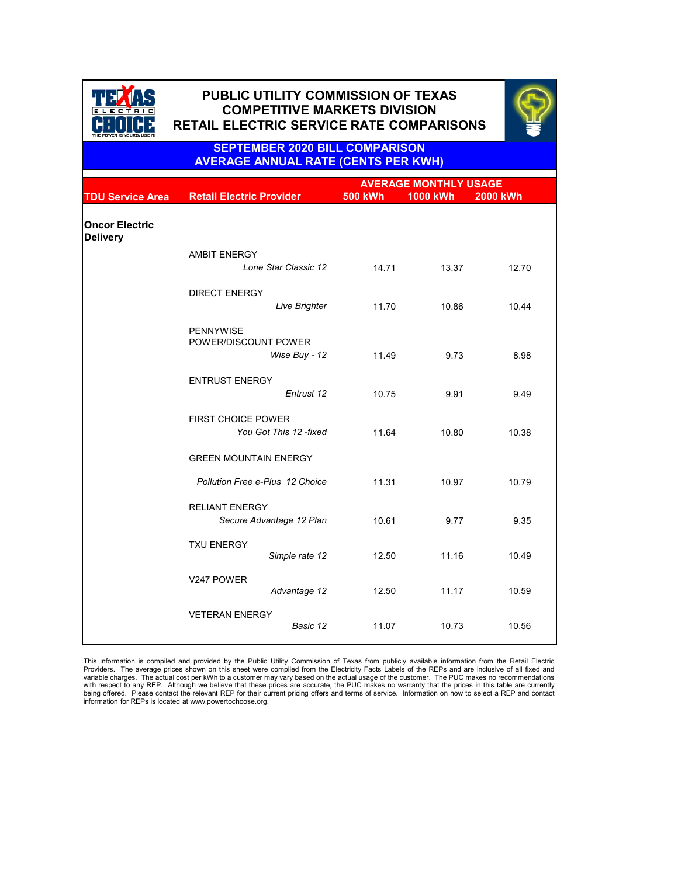|                                          |                                                     | <b>AVERAGE MONTHLY USAGE</b> |                 |                 |  |
|------------------------------------------|-----------------------------------------------------|------------------------------|-----------------|-----------------|--|
| <b>TDU Service Area</b>                  | <b>Retail Electric Provider</b>                     | <b>500 kWh</b>               | <b>1000 kWh</b> | <b>2000 kWh</b> |  |
| <b>Oncor Electric</b><br><b>Delivery</b> |                                                     |                              |                 |                 |  |
|                                          | <b>AMBIT ENERGY</b><br>Lone Star Classic 12         | 14.71                        | 13.37           | 12.70           |  |
|                                          | <b>DIRECT ENERGY</b><br><b>Live Brighter</b>        | 11.70                        | 10.86           | 10.44           |  |
|                                          | <b>PENNYWISE</b><br>POWER/DISCOUNT POWER            | 11.49                        | 9.73            |                 |  |
|                                          | Wise Buy - 12<br><b>ENTRUST ENERGY</b>              |                              |                 | 8.98            |  |
|                                          | Entrust 12                                          | 10.75                        | 9.91            | 9.49            |  |
|                                          | <b>FIRST CHOICE POWER</b><br>You Got This 12 -fixed | 11.64                        | 10.80           | 10.38           |  |
|                                          | <b>GREEN MOUNTAIN ENERGY</b>                        |                              |                 |                 |  |
|                                          | <b>Pollution Free e-Plus 12 Choice</b>              | 11.31                        | 10.97           | 10.79           |  |
|                                          | <b>RELIANT ENERGY</b><br>Secure Advantage 12 Plan   | 10.61                        | 9.77            | 9.35            |  |
|                                          | <b>TXU ENERGY</b><br>Simple rate 12                 | 12.50                        | 11.16           | 10.49           |  |
|                                          |                                                     |                              |                 |                 |  |

| V247 POWER            | Advantage 12 | 12.50 | 11.17 | 10.59 |
|-----------------------|--------------|-------|-------|-------|
| <b>VETERAN ENERGY</b> | Basic 12     | 11.07 | 10.73 | 10.56 |



# **PUBLIC UTILITY COMMISSION OF TEXAS PUBLIC UTILITY COMMISSION OF TEXAS COMPETITIVE MARKETS DIVISION COMPETITIVE MARKETS DIVISION RETAIL ELECTRIC SERVICE RATE COMPARISONS RETAIL ELECTRIC SERVICE RATE COMPARISONS**



. This information is compiled and provided by the Public Utility Commission of Texas from publicly available information from the Retail Electric Providers. The average prices shown on this sheet were compiled from the Electricity Facts Labels of the REPs and are inclusive of all fixed and variable charges. The actual cost per kWh to a customer may vary based on the actual usage of the customer. The PUC makes no recommendations with respect to any REP. Although we believe that these prices are accurate, the PUC makes no warranty that the prices in this table are currently being offered. Please contact the relevant REP for their current pricing offers and terms of service. Information on how to select a REP and contact information for REPs is located at www.powertochoose.org.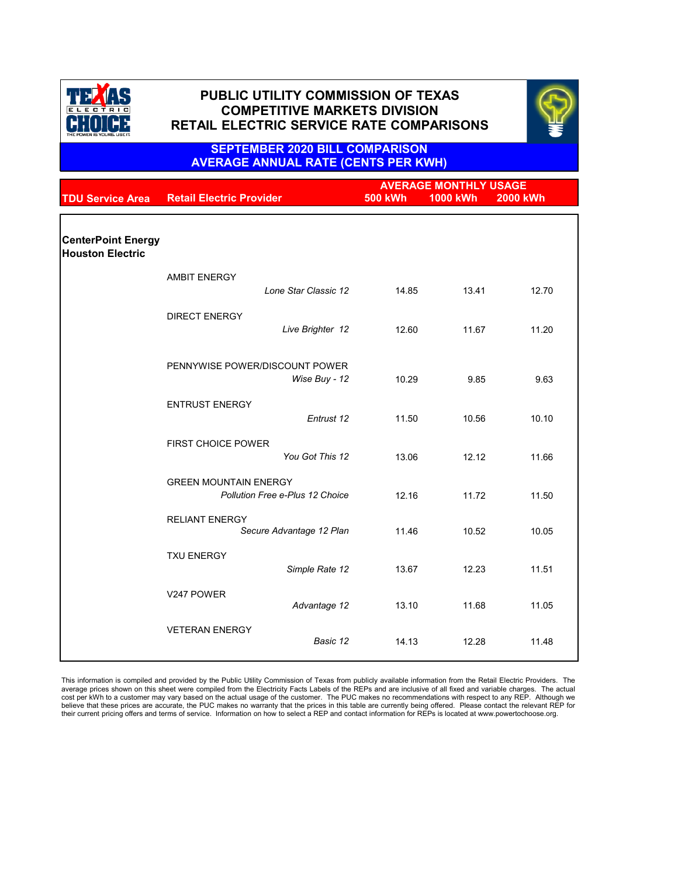|                                                      |                                                   | <b>AVERAGE MONTHLY USAGE</b> |                 |                 |
|------------------------------------------------------|---------------------------------------------------|------------------------------|-----------------|-----------------|
| <b>TDU Service Area</b>                              | <b>Retail Electric Provider</b>                   | <b>500 kWh</b>               | <b>1000 kWh</b> | <b>2000 kWh</b> |
|                                                      |                                                   |                              |                 |                 |
| <b>CenterPoint Energy</b><br><b>Houston Electric</b> |                                                   |                              |                 |                 |
|                                                      | <b>AMBIT ENERGY</b>                               |                              |                 |                 |
|                                                      | Lone Star Classic 12                              | 14.85                        | 13.41           | 12.70           |
|                                                      | <b>DIRECT ENERGY</b>                              |                              |                 |                 |
|                                                      | Live Brighter 12                                  | 12.60                        | 11.67           | 11.20           |
|                                                      | PENNYWISE POWER/DISCOUNT POWER                    |                              |                 |                 |
|                                                      | Wise Buy - 12                                     | 10.29                        | 9.85            | 9.63            |
|                                                      | <b>ENTRUST ENERGY</b>                             |                              |                 |                 |
|                                                      | Entrust 12                                        | 11.50                        | 10.56           | 10.10           |
|                                                      | <b>FIRST CHOICE POWER</b>                         |                              |                 |                 |
|                                                      | You Got This 12                                   | 13.06                        | 12.12           | 11.66           |
|                                                      | <b>GREEN MOUNTAIN ENERGY</b>                      |                              |                 |                 |
|                                                      | <b>Pollution Free e-Plus 12 Choice</b>            | 12.16                        | 11.72           | 11.50           |
|                                                      | <b>RELIANT ENERGY</b><br>Secure Advantage 12 Plan | 11.46                        | 10.52           | 10.05           |
|                                                      | <b>TXU ENERGY</b>                                 |                              |                 |                 |
|                                                      | Simple Rate 12                                    | 13.67                        | 12.23           | 11.51           |

| V247 POWER            | Advantage 12 | 13.10 | 11.68 | 11.05 |
|-----------------------|--------------|-------|-------|-------|
| <b>VETERAN ENERGY</b> | Basic 12     | 14.13 | 12.28 | 11.48 |

This information is compiled and provided by the Public Utility Commission of Texas from publicly available information from the Retail Electric Providers. The average prices shown on this sheet were compiled from the Electricity Facts Labels of the REPs and are inclusive of all fixed and variable charges. The actual cost per kWh to a customer may vary based on the actual usage of the customer. The PUC makes no recommendations with respect to any REP. Although we believe that these prices are accurate, the PUC makes no warranty that the prices in this table are currently being offered. Please contact the relevant REP for their current pricing offers and terms of service. Information on how to select a REP and contact information for REPs is located at www.powertochoose.org.



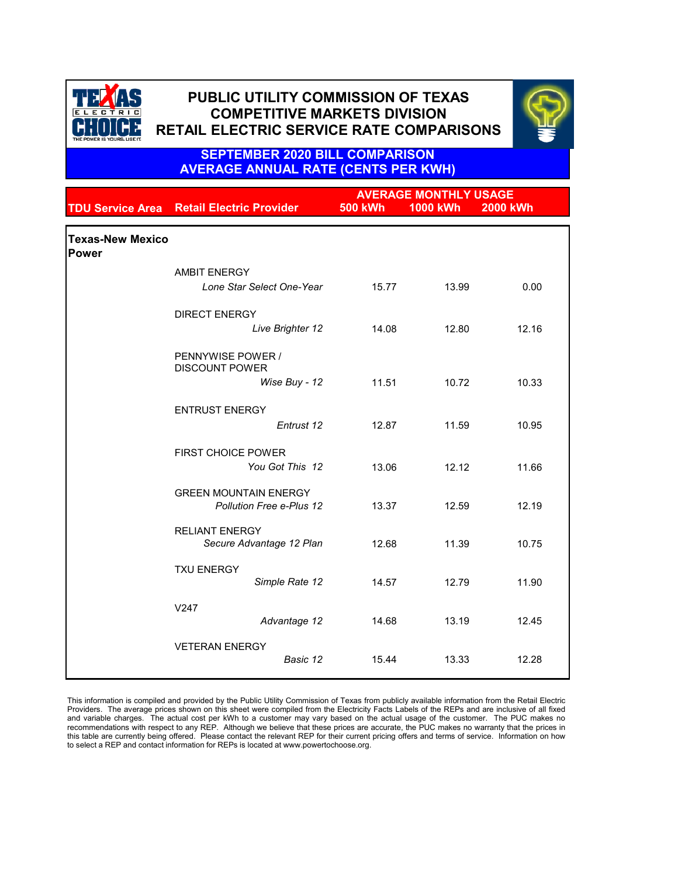|                                         |                                                                 | <b>AVERAGE MONTHLY USAGE</b> |                 |                 |  |
|-----------------------------------------|-----------------------------------------------------------------|------------------------------|-----------------|-----------------|--|
|                                         | <b>TDU Service Area Retail Electric Provider</b>                | <b>500 kWh</b>               | <b>1000 kWh</b> | <b>2000 kWh</b> |  |
| <b>Texas-New Mexico</b><br><b>Power</b> |                                                                 |                              |                 |                 |  |
|                                         | <b>AMBIT ENERGY</b>                                             |                              |                 |                 |  |
|                                         | Lone Star Select One-Year                                       | 15.77                        | 13.99           | 0.00            |  |
|                                         | <b>DIRECT ENERGY</b>                                            |                              |                 |                 |  |
|                                         | Live Brighter 12                                                | 14.08                        | 12.80           | 12.16           |  |
|                                         | PENNYWISE POWER /<br><b>DISCOUNT POWER</b>                      |                              |                 |                 |  |
|                                         | Wise Buy - 12                                                   | 11.51                        | 10.72           | 10.33           |  |
|                                         | <b>ENTRUST ENERGY</b>                                           |                              |                 |                 |  |
|                                         | Entrust 12                                                      | 12.87                        | 11.59           | 10.95           |  |
|                                         | <b>FIRST CHOICE POWER</b>                                       |                              |                 |                 |  |
|                                         | You Got This 12                                                 | 13.06                        | 12.12           | 11.66           |  |
|                                         | <b>GREEN MOUNTAIN ENERGY</b><br><b>Pollution Free e-Plus 12</b> | 13.37                        | 12.59           | 12.19           |  |
|                                         | <b>RELIANT ENERGY</b>                                           |                              |                 |                 |  |
|                                         | Secure Advantage 12 Plan                                        | 12.68                        | 11.39           | 10.75           |  |
|                                         | <b>TXU ENERGY</b>                                               |                              |                 |                 |  |
|                                         | Simple Rate 12                                                  | 14.57                        | 12.79           | 11.90           |  |
|                                         | V247                                                            |                              |                 |                 |  |
|                                         | Advantage 12                                                    | 14.68                        | 13.19           | 12.45           |  |

| <b>VETERAN ENERGY</b> |          |       |       |       |
|-----------------------|----------|-------|-------|-------|
|                       | Basic 12 | 15.44 | 13.33 | 12.28 |
|                       |          |       |       |       |

This information is compiled and provided by the Public Utility Commission of Texas from publicly available information from the Retail Electric Providers. The average prices shown on this sheet were compiled from the Electricity Facts Labels of the REPs and are inclusive of all fixed and variable charges. The actual cost per kWh to a customer may vary based on the actual usage of the customer. The PUC makes no recommendations with respect to any REP. Although we believe that these prices are accurate, the PUC makes no warranty that the prices in this table are currently being offered. Please contact the relevant REP for their current pricing offers and terms of service. Information on how to select a REP and contact information for REPs is located at www.powertochoose.org.



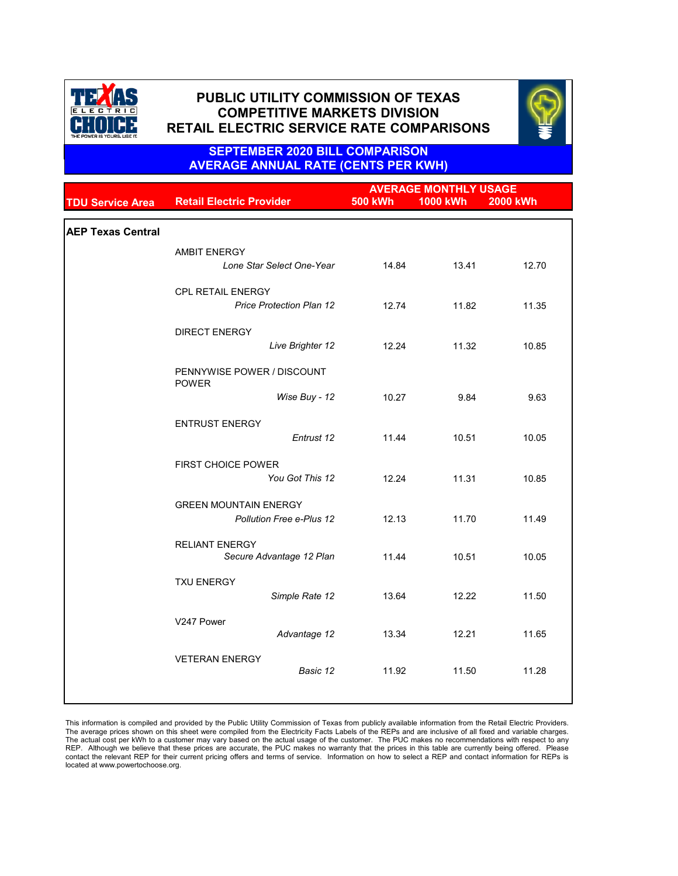|                          |                                            | <b>AVERAGE MONTHLY USAGE</b> |                 |                 |
|--------------------------|--------------------------------------------|------------------------------|-----------------|-----------------|
| <b>TDU Service Area</b>  | <b>Retail Electric Provider</b>            | <b>500 kWh</b>               | <b>1000 kWh</b> | <b>2000 kWh</b> |
|                          |                                            |                              |                 |                 |
| <b>AEP Texas Central</b> |                                            |                              |                 |                 |
|                          | <b>AMBIT ENERGY</b>                        |                              |                 |                 |
|                          | Lone Star Select One-Year                  | 14.84                        | 13.41           | 12.70           |
|                          | <b>CPL RETAIL ENERGY</b>                   |                              |                 |                 |
|                          | <b>Price Protection Plan 12</b>            | 12.74                        | 11.82           | 11.35           |
|                          | <b>DIRECT ENERGY</b>                       |                              |                 |                 |
|                          | Live Brighter 12                           | 12.24                        | 11.32           | 10.85           |
|                          | PENNYWISE POWER / DISCOUNT<br><b>POWER</b> |                              |                 |                 |
|                          | Wise Buy - 12                              | 10.27                        | 9.84            | 9.63            |
|                          | <b>ENTRUST ENERGY</b>                      |                              |                 |                 |
|                          | Entrust 12                                 | 11.44                        | 10.51           | 10.05           |
|                          | <b>FIRST CHOICE POWER</b>                  |                              |                 |                 |
|                          | You Got This 12                            | 12.24                        | 11.31           | 10.85           |
|                          | <b>GREEN MOUNTAIN ENERGY</b>               |                              |                 |                 |
|                          | <b>Pollution Free e-Plus 12</b>            | 12.13                        | 11.70           | 11.49           |
|                          | <b>RELIANT ENERGY</b>                      |                              |                 |                 |
|                          | Secure Advantage 12 Plan                   | 11.44                        | 10.51           | 10.05           |
|                          | <b>TXU ENERGY</b>                          |                              |                 |                 |
|                          | Simple Rate 12                             | 13.64                        | 12.22           | 11.50           |
|                          | V247 Power                                 |                              |                 |                 |
|                          | Advantage 12                               | 13.34                        | 12.21           | 11.65           |
|                          | <b>VETERAN ENERGY</b>                      |                              |                 |                 |
|                          | Basic 12                                   | 11.92                        | 11.50           | 11.28           |
|                          |                                            |                              |                 |                 |

This information is compiled and provided by the Public Utility Commission of Texas from publicly available information from the Retail Electric Providers. The average prices shown on this sheet were compiled from the Electricity Facts Labels of the REPs and are inclusive of all fixed and variable charges. The actual cost per kWh to a customer may vary based on the actual usage of the customer. The PUC makes no recommendations with respect to any REP. Although we believe that these prices are accurate, the PUC makes no warranty that the prices in this table are currently being offered. Please contact the relevant REP for their current pricing offers and terms of service. Information on how to select a REP and contact information for REPs is located at www.powertochoose.org.